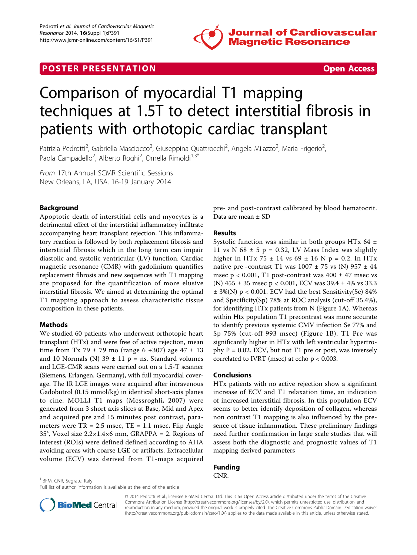

### **POSTER PRESENTATION CONSUMING THE SECOND CONSUMING THE SECOND CONSUMING THE SECOND CONSUMING THE SECOND CONSUMING THE SECOND CONSUMING THE SECOND CONSUMING THE SECOND CONSUMING THE SECOND CONSUMING THE SECOND CONSUMING**



# Comparison of myocardial T1 mapping techniques at 1.5T to detect interstitial fibrosis in patients with orthotopic cardiac transplant

Patrizia Pedrotti<sup>2</sup>, Gabriella Masciocco<sup>2</sup>, Giuseppina Quattrocchi<sup>2</sup>, Angela Milazzo<sup>2</sup>, Maria Frigerio<sup>2</sup> , Paola Campadello<sup>2</sup>, Alberto Roghi<sup>2</sup>, Ornella Rimoldi<sup>1,3\*</sup>

From 17th Annual SCMR Scientific Sessions New Orleans, LA, USA. 16-19 January 2014

#### Background

Apoptotic death of interstitial cells and myocytes is a detrimental effect of the interstitial inflammatory infiltrate accompanying heart transplant rejection. This inflammatory reaction is followed by both replacement fibrosis and interstitial fibrosis which in the long term can impair diastolic and systolic ventricular (LV) function. Cardiac magnetic resonance (CMR) with gadolinium quantifies replacement fibrosis and new sequences with T1 mapping are proposed for the quantification of more elusive interstitial fibrosis. We aimed at determining the optimal T1 mapping approach to assess characteristic tissue composition in these patients.

#### Methods

We studied 60 patients who underwent orthotopic heart transplant (HTx) and were free of active rejection, mean time from Tx 79  $\pm$  79 mo (range 6 ÷ 307) age 47  $\pm$  13 and 10 Normals (N)  $39 \pm 11$  p = ns. Standard volumes and LGE-CMR scans were carried out on a 1.5-T scanner (Siemens, Erlangen, Germany), with full myocardial coverage. The IR LGE images were acquired after intravenous Gadobutrol (0.15 mmol/kg) in identical short-axis planes to cine. MOLLI T1 maps (Messroghli, 2007) were generated from 3 short axis slices at Base, Mid and Apex and acquired pre and 15 minutes post contrast, parameters were TR = 2.5 msec, TE = 1.1 msec, Flip Angle 35°, Voxel size  $2.2 \times 1.4 \times 6$  mm, GRAPPA = 2. Regions of interest (ROIs) were defined defined according to AHA avoiding areas with coarse LGE or artifacts. Extracellular volume (ECV) was derived from T1-maps acquired

pre- and post-contrast calibrated by blood hematocrit. Data are mean ± SD

#### Results

Systolic function was similar in both groups HTx  $64 \pm$ 11 vs N  $68 \pm 5$  p = 0.32, LV Mass Index was slightly higher in HTx 75  $\pm$  14 vs 69  $\pm$  16 N p = 0.2. In HTx native pre -contrast T1 was  $1007 \pm 75$  vs (N)  $957 \pm 44$ msec  $p < 0.001$ , T1 post-contrast was  $400 \pm 47$  msec vs (N) 455 ± 35 msec p < 0.001, ECV was 39.4 ± 4% vs 33.3  $\pm$  3%(N) p < 0.001. ECV had the best Sensitivity(Se) 84% and Specificity(Sp) 78% at ROC analysis (cut-off 35.4%), for identifying HTx patients from N (Figure [1A](#page-1-0)). Whereas within Htx population T1 precontrast was more accurate to identify previous systemic CMV infection Se 77% and Sp 75% (cut-off 993 msec) (Figure [1B](#page-1-0)). T1 Pre was significantly higher in HTx with left ventricular hypertrophy  $P = 0.02$ . ECV, but not T1 pre or post, was inversely correlated to IVRT (msec) at echo  $p < 0.003$ .

#### Conclusions

HTx patients with no active rejection show a significant increase of ECV and T1 relaxation time, an indication of increased interstitial fibrosis. In this population ECV seems to better identify deposition of collagen, whereas non contrast T1 mapping is also influenced by the presence of tissue inflammation. These preliminary findings need further confirmation in large scale studies that will assess both the diagnostic and prognostic values of T1 mapping derived parameters

## Funding

<sup>1</sup>IBFM, CNR, Segrate, Italy **CNR.** 2008. The contract of the contract of the contract of the contract of the contract of the contract of the contract of the contract of the contract of the contract of the contract of the

Full list of author information is available at the end of the article



© 2014 Pedrotti et al.; licensee BioMed Central Ltd. This is an Open Access article distributed under the terms of the Creative Commons Attribution License [\(http://creativecommons.org/licenses/by/2.0](http://creativecommons.org/licenses/by/2.0)), which permits unrestricted use, distribution, and reproduction in any medium, provided the original work is properly cited. The Creative Commons Public Domain Dedication waiver [\(http://creativecommons.org/publicdomain/zero/1.0/](http://creativecommons.org/publicdomain/zero/1.0/)) applies to the data made available in this article, unless otherwise stated.